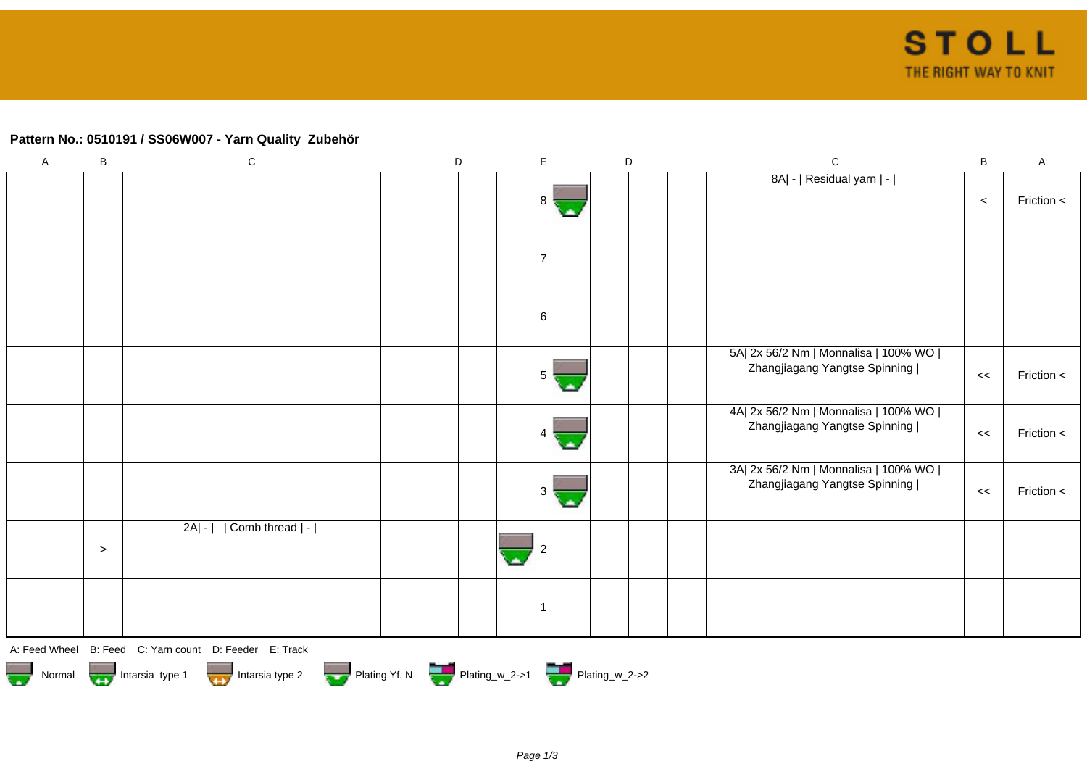## **Pattern No.: 0510191 / SS06W007 - Yarn Quality Zubehör**

| $\mathsf A$ | $\sf B$   | ${\bf C}$                                              | D | E              | $\mathsf D$ |  | $\mathsf C$                                                             | $\, {\bf B} \,$ | $\boldsymbol{\mathsf{A}}$ |
|-------------|-----------|--------------------------------------------------------|---|----------------|-------------|--|-------------------------------------------------------------------------|-----------------|---------------------------|
|             |           |                                                        |   | 8              |             |  | 8A  -   Residual yarn   -                                               | $\,<$           | Friction <                |
|             |           |                                                        |   | $\overline{7}$ |             |  |                                                                         |                 |                           |
|             |           |                                                        |   | 6              |             |  |                                                                         |                 |                           |
|             |           |                                                        |   | 5              |             |  | 5A  2x 56/2 Nm   Monnalisa   100% WO  <br>Zhangjiagang Yangtse Spinning | <<              | Friction <                |
|             |           |                                                        |   |                |             |  | 4A  2x 56/2 Nm   Monnalisa   100% WO  <br>Zhangjiagang Yangtse Spinning | $\,<$           | Friction <                |
|             |           |                                                        |   |                |             |  | 3A  2x 56/2 Nm   Monnalisa   100% WO  <br>Zhangjiagang Yangtse Spinning | <<              | Friction <                |
|             | $\, > \,$ | Comb thread   -  <br>$2A - $                           |   |                |             |  |                                                                         |                 |                           |
|             |           |                                                        |   | $\mathbf{1}$   |             |  |                                                                         |                 |                           |
|             |           | A: Feed Wheel B: Feed C: Yarn count D: Feeder E: Track |   |                |             |  |                                                                         |                 |                           |

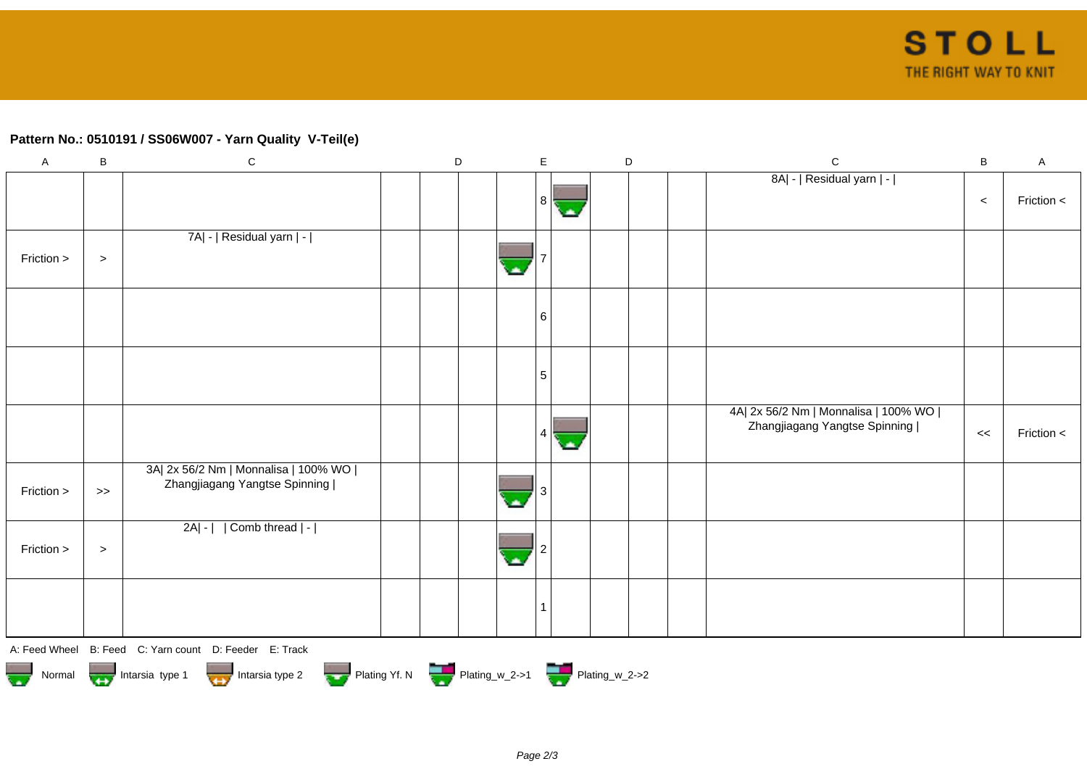## **Pattern No.: 0510191 / SS06W007 - Yarn Quality V-Teil(e)**

| $\boldsymbol{\mathsf{A}}$ | $\sf B$   | ${\bf C}$                                                               | $\mathsf D$ |                  | $\mathsf{E}$   |       | $\mathsf D$ | ${\bf C}$                                                               | B     | $\boldsymbol{\mathsf{A}}$ |
|---------------------------|-----------|-------------------------------------------------------------------------|-------------|------------------|----------------|-------|-------------|-------------------------------------------------------------------------|-------|---------------------------|
|                           |           |                                                                         |             |                  | 8 <sup>1</sup> | СA.   |             | 8A  -   Residual yarn   -                                               | $\,<$ | Friction <                |
| Friction >                | $\, > \,$ | 7A  -   Residual yarn   -                                               |             | ٠                |                |       |             |                                                                         |       |                           |
|                           |           |                                                                         |             |                  | 6              |       |             |                                                                         |       |                           |
|                           |           |                                                                         |             |                  | $\sqrt{5}$     |       |             |                                                                         |       |                           |
|                           |           |                                                                         |             |                  | 4              | olis, |             | 4A  2x 56/2 Nm   Monnalisa   100% WO  <br>Zhangjiagang Yangtse Spinning | $<<$  | Friction <                |
| Friction >                | $>>$      | 3A  2x 56/2 Nm   Monnalisa   100% WO  <br>Zhangjiagang Yangtse Spinning |             | ×                |                |       |             |                                                                         |       |                           |
| Friction >                | $\, >$    | 2A  -     Comb thread   -                                               |             | $\blacktriangle$ |                |       |             |                                                                         |       |                           |
|                           |           |                                                                         |             |                  | 1              |       |             |                                                                         |       |                           |
|                           |           | A: Feed Wheel B: Feed C: Yarn count D: Feeder E: Track                  |             |                  |                |       |             |                                                                         |       |                           |

Normal Intarsia type 1 Intarsia type 2 Plating Yf. N Plating\_w\_2->1 Plating\_w\_2->2